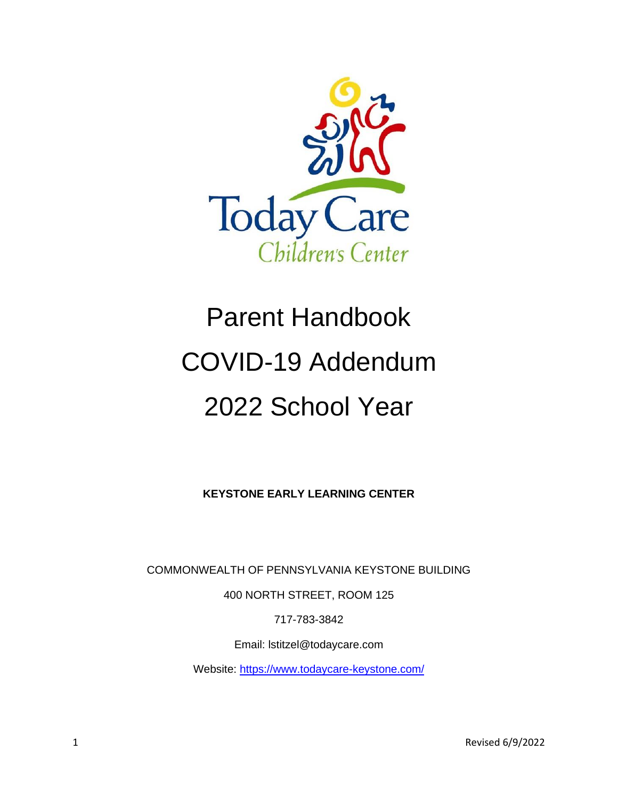

# Parent Handbook COVID-19 Addendum 2022 School Year

**KEYSTONE EARLY LEARNING CENTER**

COMMONWEALTH OF PENNSYLVANIA KEYSTONE BUILDING

400 NORTH STREET, ROOM 125

717-783-3842

Email: lstitzel@todaycare.com

Website:<https://www.todaycare-keystone.com/>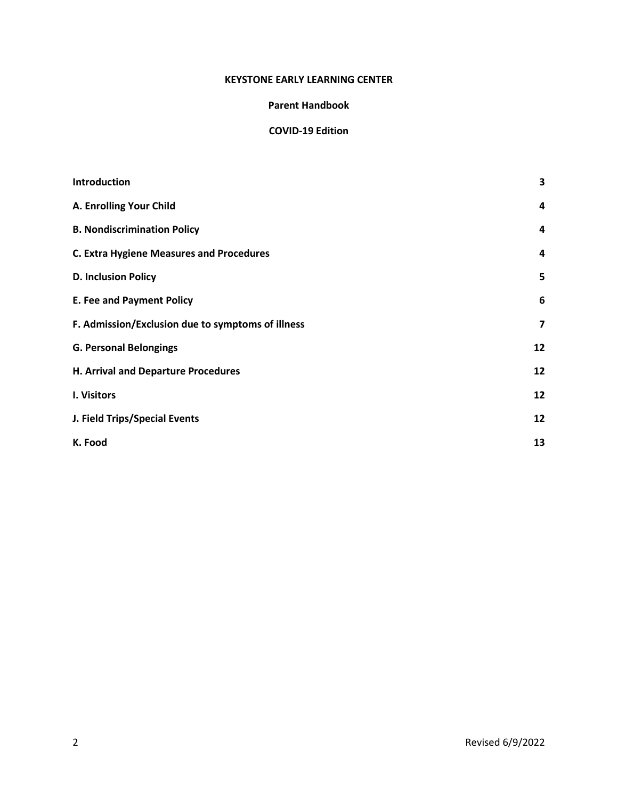#### **KEYSTONE EARLY LEARNING CENTER**

#### **Parent Handbook**

#### **COVID-19 Edition**

| <b>Introduction</b>                               | 3                       |
|---------------------------------------------------|-------------------------|
| A. Enrolling Your Child                           | $\overline{a}$          |
| <b>B. Nondiscrimination Policy</b>                | 4                       |
| <b>C. Extra Hygiene Measures and Procedures</b>   | 4                       |
| <b>D. Inclusion Policy</b>                        | 5                       |
| <b>E. Fee and Payment Policy</b>                  | 6                       |
| F. Admission/Exclusion due to symptoms of illness | $\overline{\mathbf{z}}$ |
| <b>G. Personal Belongings</b>                     | 12                      |
| H. Arrival and Departure Procedures               | 12                      |
| I. Visitors                                       | 12                      |
| J. Field Trips/Special Events                     | 12                      |
| K. Food                                           | 13                      |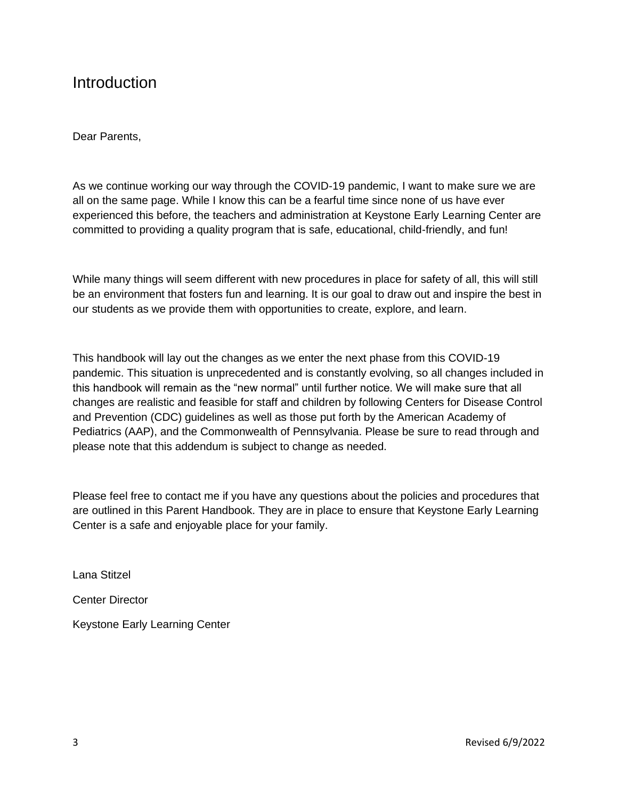### Introduction

Dear Parents,

As we continue working our way through the COVID-19 pandemic, I want to make sure we are all on the same page. While I know this can be a fearful time since none of us have ever experienced this before, the teachers and administration at Keystone Early Learning Center are committed to providing a quality program that is safe, educational, child-friendly, and fun!

While many things will seem different with new procedures in place for safety of all, this will still be an environment that fosters fun and learning. It is our goal to draw out and inspire the best in our students as we provide them with opportunities to create, explore, and learn.

This handbook will lay out the changes as we enter the next phase from this COVID-19 pandemic. This situation is unprecedented and is constantly evolving, so all changes included in this handbook will remain as the "new normal" until further notice. We will make sure that all changes are realistic and feasible for staff and children by following Centers for Disease Control and Prevention (CDC) guidelines as well as those put forth by the American Academy of Pediatrics (AAP), and the Commonwealth of Pennsylvania. Please be sure to read through and please note that this addendum is subject to change as needed.

Please feel free to contact me if you have any questions about the policies and procedures that are outlined in this Parent Handbook. They are in place to ensure that Keystone Early Learning Center is a safe and enjoyable place for your family.

Lana Stitzel

Center Director

Keystone Early Learning Center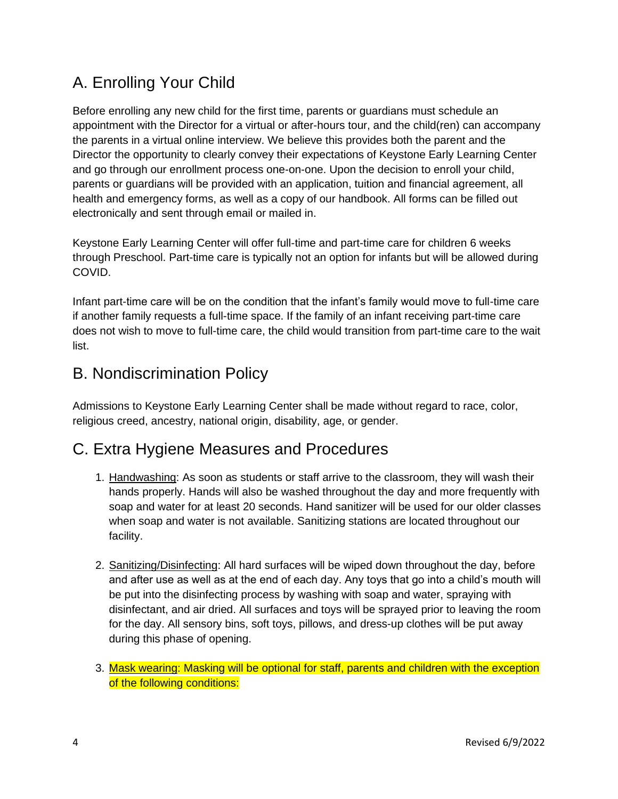### A. Enrolling Your Child

Before enrolling any new child for the first time, parents or guardians must schedule an appointment with the Director for a virtual or after-hours tour, and the child(ren) can accompany the parents in a virtual online interview. We believe this provides both the parent and the Director the opportunity to clearly convey their expectations of Keystone Early Learning Center and go through our enrollment process one-on-one. Upon the decision to enroll your child, parents or guardians will be provided with an application, tuition and financial agreement, all health and emergency forms, as well as a copy of our handbook. All forms can be filled out electronically and sent through email or mailed in.

Keystone Early Learning Center will offer full-time and part-time care for children 6 weeks through Preschool. Part-time care is typically not an option for infants but will be allowed during COVID.

Infant part-time care will be on the condition that the infant's family would move to full-time care if another family requests a full-time space. If the family of an infant receiving part-time care does not wish to move to full-time care, the child would transition from part-time care to the wait list.

### B. Nondiscrimination Policy

Admissions to Keystone Early Learning Center shall be made without regard to race, color, religious creed, ancestry, national origin, disability, age, or gender.

### C. Extra Hygiene Measures and Procedures

- 1. Handwashing: As soon as students or staff arrive to the classroom, they will wash their hands properly. Hands will also be washed throughout the day and more frequently with soap and water for at least 20 seconds. Hand sanitizer will be used for our older classes when soap and water is not available. Sanitizing stations are located throughout our facility.
- 2. Sanitizing/Disinfecting: All hard surfaces will be wiped down throughout the day, before and after use as well as at the end of each day. Any toys that go into a child's mouth will be put into the disinfecting process by washing with soap and water, spraying with disinfectant, and air dried. All surfaces and toys will be sprayed prior to leaving the room for the day. All sensory bins, soft toys, pillows, and dress-up clothes will be put away during this phase of opening.
- 3. Mask wearing: Masking will be optional for staff, parents and children with the exception of the following conditions: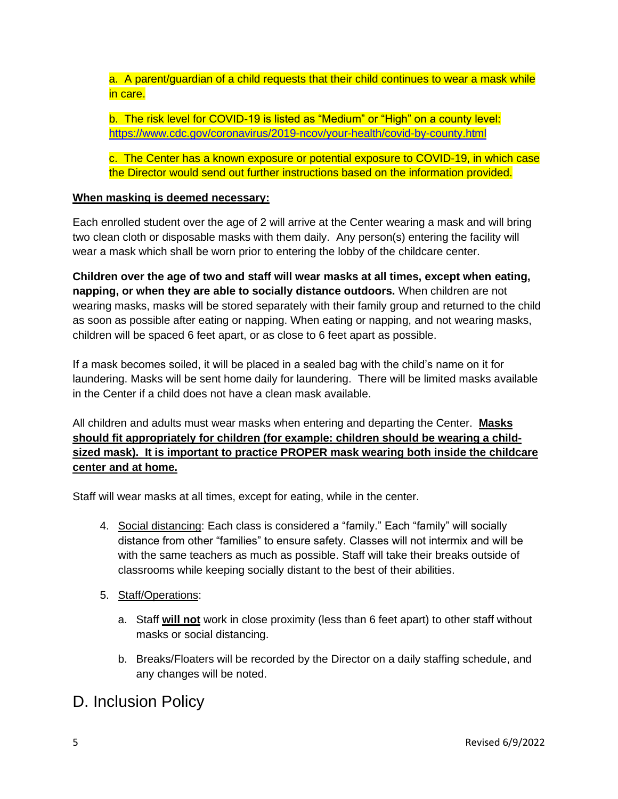a. A parent/guardian of a child requests that their child continues to wear a mask while in care.

b. The risk level for COVID-19 is listed as "Medium" or "High" on a county level: <https://www.cdc.gov/coronavirus/2019-ncov/your-health/covid-by-county.html>

c. The Center has a known exposure or potential exposure to COVID-19, in which case the Director would send out further instructions based on the information provided.

#### **When masking is deemed necessary:**

Each enrolled student over the age of 2 will arrive at the Center wearing a mask and will bring two clean cloth or disposable masks with them daily. Any person(s) entering the facility will wear a mask which shall be worn prior to entering the lobby of the childcare center.

**Children over the age of two and staff will wear masks at all times, except when eating, napping, or when they are able to socially distance outdoors.** When children are not wearing masks, masks will be stored separately with their family group and returned to the child as soon as possible after eating or napping. When eating or napping, and not wearing masks, children will be spaced 6 feet apart, or as close to 6 feet apart as possible.

If a mask becomes soiled, it will be placed in a sealed bag with the child's name on it for laundering. Masks will be sent home daily for laundering. There will be limited masks available in the Center if a child does not have a clean mask available.

All children and adults must wear masks when entering and departing the Center. **Masks should fit appropriately for children (for example: children should be wearing a childsized mask). It is important to practice PROPER mask wearing both inside the childcare center and at home.**

Staff will wear masks at all times, except for eating, while in the center.

- 4. Social distancing: Each class is considered a "family." Each "family" will socially distance from other "families" to ensure safety. Classes will not intermix and will be with the same teachers as much as possible. Staff will take their breaks outside of classrooms while keeping socially distant to the best of their abilities.
- 5. Staff/Operations:
	- a. Staff **will not** work in close proximity (less than 6 feet apart) to other staff without masks or social distancing.
	- b. Breaks/Floaters will be recorded by the Director on a daily staffing schedule, and any changes will be noted.

### D. Inclusion Policy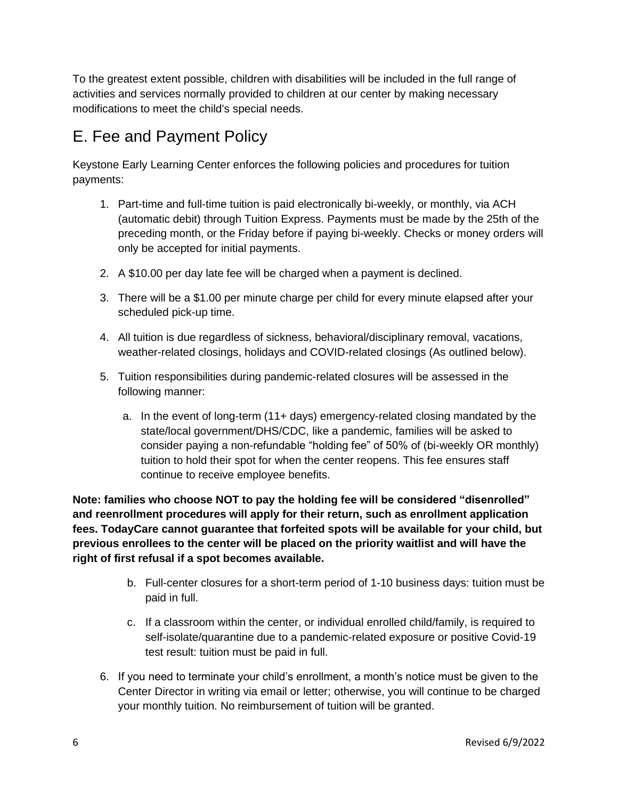To the greatest extent possible, children with disabilities will be included in the full range of activities and services normally provided to children at our center by making necessary modifications to meet the child's special needs.

### E. Fee and Payment Policy

Keystone Early Learning Center enforces the following policies and procedures for tuition payments:

- 1. Part-time and full-time tuition is paid electronically bi-weekly, or monthly, via ACH (automatic debit) through Tuition Express. Payments must be made by the 25th of the preceding month, or the Friday before if paying bi-weekly. Checks or money orders will only be accepted for initial payments.
- 2. A \$10.00 per day late fee will be charged when a payment is declined.
- 3. There will be a \$1.00 per minute charge per child for every minute elapsed after your scheduled pick-up time.
- 4. All tuition is due regardless of sickness, behavioral/disciplinary removal, vacations, weather-related closings, holidays and COVID-related closings (As outlined below).
- 5. Tuition responsibilities during pandemic-related closures will be assessed in the following manner:
	- a. In the event of long-term (11+ days) emergency-related closing mandated by the state/local government/DHS/CDC, like a pandemic, families will be asked to consider paying a non-refundable "holding fee" of 50% of (bi-weekly OR monthly) tuition to hold their spot for when the center reopens. This fee ensures staff continue to receive employee benefits.

**Note: families who choose NOT to pay the holding fee will be considered "disenrolled" and reenrollment procedures will apply for their return, such as enrollment application fees. TodayCare cannot guarantee that forfeited spots will be available for your child, but previous enrollees to the center will be placed on the priority waitlist and will have the right of first refusal if a spot becomes available.** 

- b. Full-center closures for a short-term period of 1-10 business days: tuition must be paid in full.
- c. If a classroom within the center, or individual enrolled child/family, is required to self-isolate/quarantine due to a pandemic-related exposure or positive Covid-19 test result: tuition must be paid in full.
- 6. If you need to terminate your child's enrollment, a month's notice must be given to the Center Director in writing via email or letter; otherwise, you will continue to be charged your monthly tuition. No reimbursement of tuition will be granted.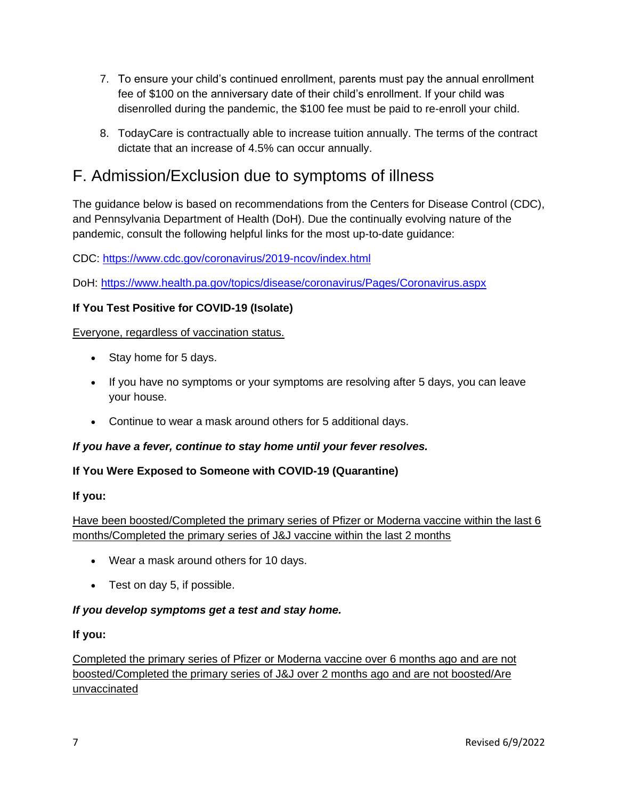- 7. To ensure your child's continued enrollment, parents must pay the annual enrollment fee of \$100 on the anniversary date of their child's enrollment. If your child was disenrolled during the pandemic, the \$100 fee must be paid to re-enroll your child.
- 8. TodayCare is contractually able to increase tuition annually. The terms of the contract dictate that an increase of 4.5% can occur annually.

### F. Admission/Exclusion due to symptoms of illness

The guidance below is based on recommendations from the Centers for Disease Control (CDC), and Pennsylvania Department of Health (DoH). Due the continually evolving nature of the pandemic, consult the following helpful links for the most up-to-date guidance:

CDC:<https://www.cdc.gov/coronavirus/2019-ncov/index.html>

DoH:<https://www.health.pa.gov/topics/disease/coronavirus/Pages/Coronavirus.aspx>

#### **If You Test Positive for COVID-19 (Isolate)**

Everyone, regardless of vaccination status.

- Stay home for 5 days.
- If you have no symptoms or your symptoms are resolving after 5 days, you can leave your house.
- Continue to wear a mask around others for 5 additional days.

#### *If you have a fever, continue to stay home until your fever resolves.*

#### **If You Were Exposed to Someone with COVID-19 (Quarantine)**

#### **If you:**

Have been boosted/Completed the primary series of Pfizer or Moderna vaccine within the last 6 months/Completed the primary series of J&J vaccine within the last 2 months

- Wear a mask around others for 10 days.
- Test on day 5, if possible.

#### *If you develop symptoms get a test and stay home.*

#### **If you:**

Completed the primary series of Pfizer or Moderna vaccine over 6 months ago and are not boosted/Completed the primary series of J&J over 2 months ago and are not boosted/Are unvaccinated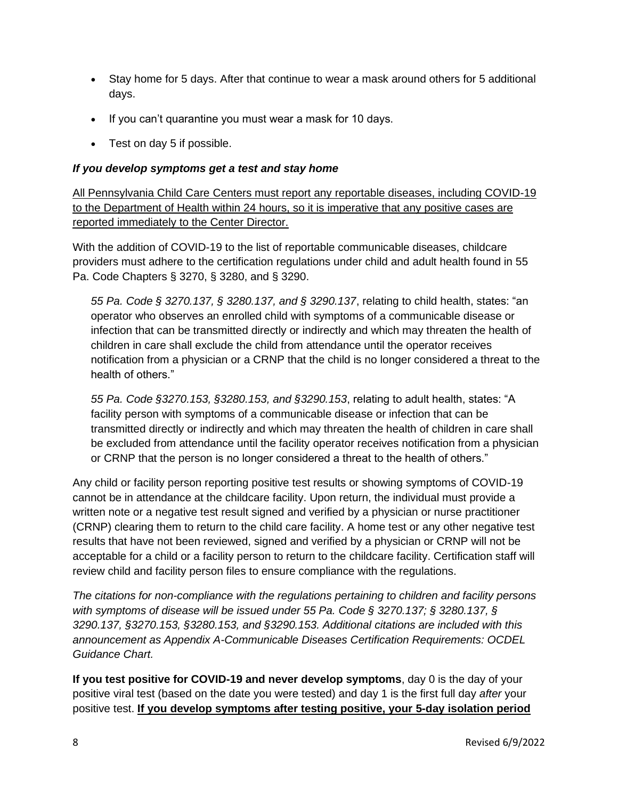- Stay home for 5 days. After that continue to wear a mask around others for 5 additional days.
- If you can't quarantine you must wear a mask for 10 days.
- Test on day 5 if possible.

#### *If you develop symptoms get a test and stay home*

All Pennsylvania Child Care Centers must report any reportable diseases, including COVID-19 to the Department of Health within 24 hours, so it is imperative that any positive cases are reported immediately to the Center Director.

With the addition of COVID-19 to the list of reportable communicable diseases, childcare providers must adhere to the certification regulations under child and adult health found in 55 Pa. Code Chapters § 3270, § 3280, and § 3290.

*55 Pa. Code § 3270.137, § 3280.137, and § 3290.137*, relating to child health, states: "an operator who observes an enrolled child with symptoms of a communicable disease or infection that can be transmitted directly or indirectly and which may threaten the health of children in care shall exclude the child from attendance until the operator receives notification from a physician or a CRNP that the child is no longer considered a threat to the health of others."

*55 Pa. Code §3270.153, §3280.153, and §3290.153*, relating to adult health, states: "A facility person with symptoms of a communicable disease or infection that can be transmitted directly or indirectly and which may threaten the health of children in care shall be excluded from attendance until the facility operator receives notification from a physician or CRNP that the person is no longer considered a threat to the health of others."

Any child or facility person reporting positive test results or showing symptoms of COVID-19 cannot be in attendance at the childcare facility. Upon return, the individual must provide a written note or a negative test result signed and verified by a physician or nurse practitioner (CRNP) clearing them to return to the child care facility. A home test or any other negative test results that have not been reviewed, signed and verified by a physician or CRNP will not be acceptable for a child or a facility person to return to the childcare facility. Certification staff will review child and facility person files to ensure compliance with the regulations.

*The citations for non-compliance with the regulations pertaining to children and facility persons with symptoms of disease will be issued under 55 Pa. Code § 3270.137; § 3280.137, § 3290.137, §3270.153, §3280.153, and §3290.153. Additional citations are included with this announcement as Appendix A-Communicable Diseases Certification Requirements: OCDEL Guidance Chart.*

**If you test positive for COVID-19 and never develop symptoms**, day 0 is the day of your positive viral test (based on the date you were tested) and day 1 is the first full day *after* your positive test. **If you develop symptoms after testing positive, your 5-day isolation period**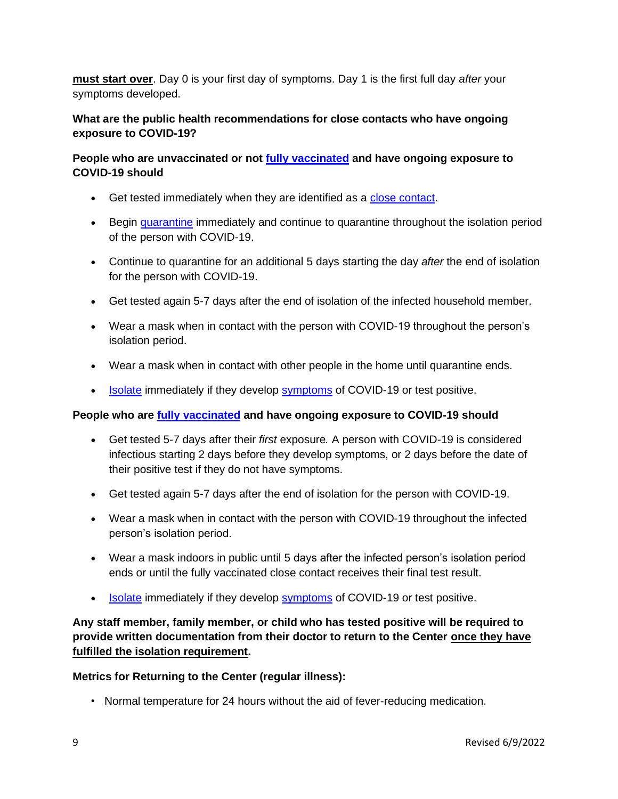**must start over**. Day 0 is your first day of symptoms. Day 1 is the first full day *after* your symptoms developed.

#### **What are the public health recommendations for close contacts who have ongoing exposure to COVID-19?**

#### **People who are unvaccinated or not [fully vaccinated](https://www.cdc.gov/coronavirus/2019-ncov/vaccines/fully-vaccinated.html#vaccinated) and have ongoing exposure to COVID-19 should**

- Get tested immediately when they are identified as a [close contact.](https://www.cdc.gov/coronavirus/2019-ncov/your-health/quarantine-isolation.html#closecontact)
- Begin [quarantine](https://www.cdc.gov/coronavirus/2019-ncov/your-health/quarantine-isolation.html#quarantine) immediately and continue to quarantine throughout the isolation period of the person with COVID-19.
- Continue to quarantine for an additional 5 days starting the day *after* the end of isolation for the person with COVID-19.
- Get tested again 5-7 days after the end of isolation of the infected household member.
- Wear a mask when in contact with the person with COVID-19 throughout the person's isolation period.
- Wear a mask when in contact with other people in the home until quarantine ends.
- [Isolate](https://www.cdc.gov/coronavirus/2019-ncov/your-health/quarantine-isolation.html#isolation) immediately if they develop [symptoms](https://www.cdc.gov/coronavirus/2019-ncov/symptoms-testing/symptoms.html) of COVID-19 or test positive.

#### **People who are [fully vaccinated](https://www.cdc.gov/coronavirus/2019-ncov/vaccines/fully-vaccinated.html#vaccinated) and have ongoing exposure to COVID-19 should**

- Get tested 5-7 days after their *first* exposure*.* A person with COVID-19 is considered infectious starting 2 days before they develop symptoms, or 2 days before the date of their positive test if they do not have symptoms.
- Get tested again 5-7 days after the end of isolation for the person with COVID-19.
- Wear a mask when in contact with the person with COVID-19 throughout the infected person's isolation period.
- Wear a mask indoors in public until 5 days after the infected person's isolation period ends or until the fully vaccinated close contact receives their final test result.
- [Isolate](https://www.cdc.gov/coronavirus/2019-ncov/your-health/quarantine-isolation.html#isolation) immediately if they develop [symptoms](https://www.cdc.gov/coronavirus/2019-ncov/symptoms-testing/symptoms.html) of COVID-19 or test positive.

**Any staff member, family member, or child who has tested positive will be required to provide written documentation from their doctor to return to the Center once they have fulfilled the isolation requirement.**

#### **Metrics for Returning to the Center (regular illness):**

• Normal temperature for 24 hours without the aid of fever-reducing medication.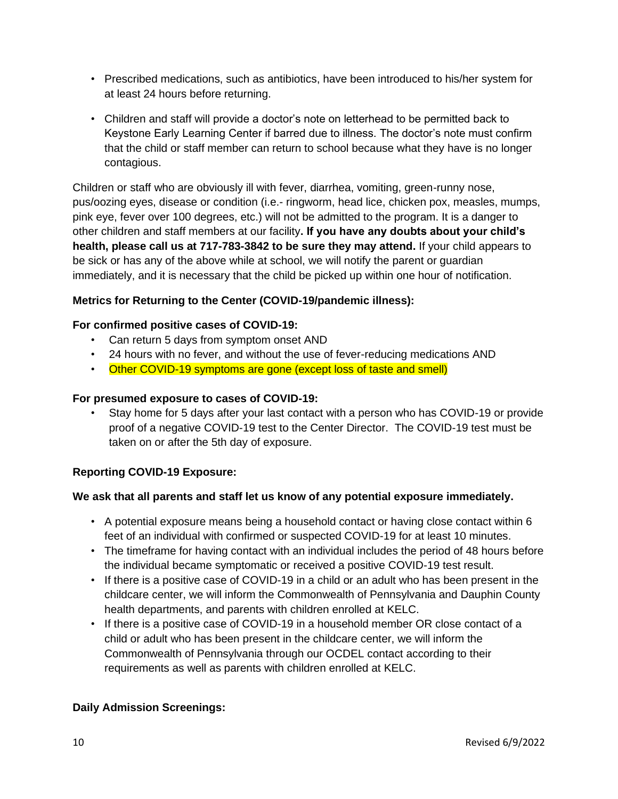- Prescribed medications, such as antibiotics, have been introduced to his/her system for at least 24 hours before returning.
- Children and staff will provide a doctor's note on letterhead to be permitted back to Keystone Early Learning Center if barred due to illness. The doctor's note must confirm that the child or staff member can return to school because what they have is no longer contagious.

Children or staff who are obviously ill with fever, diarrhea, vomiting, green-runny nose, pus/oozing eyes, disease or condition (i.e.- ringworm, head lice, chicken pox, measles, mumps, pink eye, fever over 100 degrees, etc.) will not be admitted to the program. It is a danger to other children and staff members at our facility**. If you have any doubts about your child's health, please call us at 717-783-3842 to be sure they may attend.** If your child appears to be sick or has any of the above while at school, we will notify the parent or guardian immediately, and it is necessary that the child be picked up within one hour of notification.

#### **Metrics for Returning to the Center (COVID-19/pandemic illness):**

#### **For confirmed positive cases of COVID-19:**

- Can return 5 days from symptom onset AND
- 24 hours with no fever, and without the use of fever-reducing medications AND
- Other COVID-19 symptoms are gone (except loss of taste and smell)

#### **For presumed exposure to cases of COVID-19:**

• Stay home for 5 days after your last contact with a person who has COVID-19 or provide proof of a negative COVID-19 test to the Center Director. The COVID-19 test must be taken on or after the 5th day of exposure.

#### **Reporting COVID-19 Exposure:**

#### **We ask that all parents and staff let us know of any potential exposure immediately.**

- A potential exposure means being a household contact or having close contact within 6 feet of an individual with confirmed or suspected COVID-19 for at least 10 minutes.
- The timeframe for having contact with an individual includes the period of 48 hours before the individual became symptomatic or received a positive COVID-19 test result.
- If there is a positive case of COVID-19 in a child or an adult who has been present in the childcare center, we will inform the Commonwealth of Pennsylvania and Dauphin County health departments, and parents with children enrolled at KELC.
- If there is a positive case of COVID-19 in a household member OR close contact of a child or adult who has been present in the childcare center, we will inform the Commonwealth of Pennsylvania through our OCDEL contact according to their requirements as well as parents with children enrolled at KELC.

#### **Daily Admission Screenings:**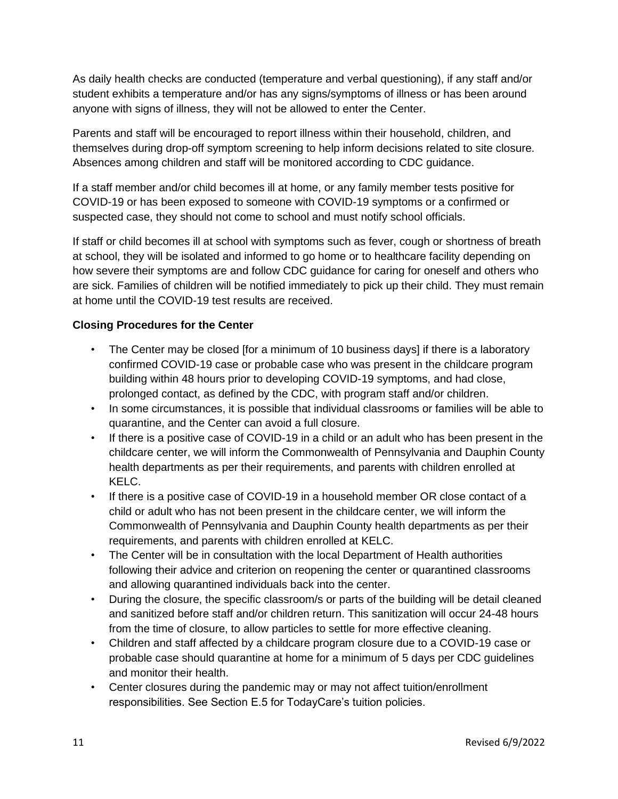As daily health checks are conducted (temperature and verbal questioning), if any staff and/or student exhibits a temperature and/or has any signs/symptoms of illness or has been around anyone with signs of illness, they will not be allowed to enter the Center.

Parents and staff will be encouraged to report illness within their household, children, and themselves during drop-off symptom screening to help inform decisions related to site closure. Absences among children and staff will be monitored according to CDC guidance.

If a staff member and/or child becomes ill at home, or any family member tests positive for COVID-19 or has been exposed to someone with COVID-19 symptoms or a confirmed or suspected case, they should not come to school and must notify school officials.

If staff or child becomes ill at school with symptoms such as fever, cough or shortness of breath at school, they will be isolated and informed to go home or to healthcare facility depending on how severe their symptoms are and follow CDC guidance for caring for oneself and others who are sick. Families of children will be notified immediately to pick up their child. They must remain at home until the COVID-19 test results are received.

#### **Closing Procedures for the Center**

- The Center may be closed [for a minimum of 10 business days] if there is a laboratory confirmed COVID-19 case or probable case who was present in the childcare program building within 48 hours prior to developing COVID-19 symptoms, and had close, prolonged contact, as defined by the CDC, with program staff and/or children.
- In some circumstances, it is possible that individual classrooms or families will be able to quarantine, and the Center can avoid a full closure.
- If there is a positive case of COVID-19 in a child or an adult who has been present in the childcare center, we will inform the Commonwealth of Pennsylvania and Dauphin County health departments as per their requirements, and parents with children enrolled at KELC.
- If there is a positive case of COVID-19 in a household member OR close contact of a child or adult who has not been present in the childcare center, we will inform the Commonwealth of Pennsylvania and Dauphin County health departments as per their requirements, and parents with children enrolled at KELC.
- The Center will be in consultation with the local Department of Health authorities following their advice and criterion on reopening the center or quarantined classrooms and allowing quarantined individuals back into the center.
- During the closure, the specific classroom/s or parts of the building will be detail cleaned and sanitized before staff and/or children return. This sanitization will occur 24-48 hours from the time of closure, to allow particles to settle for more effective cleaning.
- Children and staff affected by a childcare program closure due to a COVID-19 case or probable case should quarantine at home for a minimum of 5 days per CDC guidelines and monitor their health.
- Center closures during the pandemic may or may not affect tuition/enrollment responsibilities. See Section E.5 for TodayCare's tuition policies.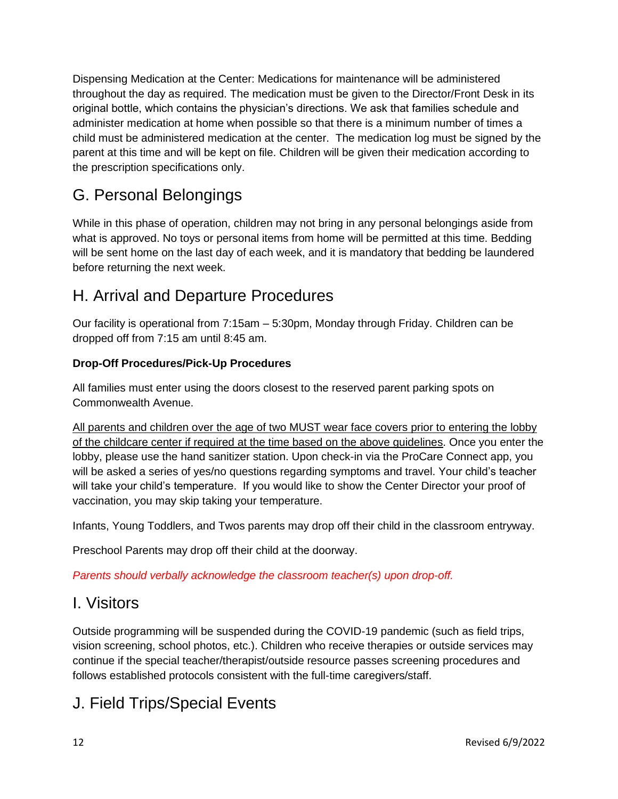Dispensing Medication at the Center: Medications for maintenance will be administered throughout the day as required. The medication must be given to the Director/Front Desk in its original bottle, which contains the physician's directions. We ask that families schedule and administer medication at home when possible so that there is a minimum number of times a child must be administered medication at the center. The medication log must be signed by the parent at this time and will be kept on file. Children will be given their medication according to the prescription specifications only.

### G. Personal Belongings

While in this phase of operation, children may not bring in any personal belongings aside from what is approved. No toys or personal items from home will be permitted at this time. Bedding will be sent home on the last day of each week, and it is mandatory that bedding be laundered before returning the next week.

### H. Arrival and Departure Procedures

Our facility is operational from 7:15am – 5:30pm, Monday through Friday. Children can be dropped off from 7:15 am until 8:45 am.

#### **Drop-Off Procedures/Pick-Up Procedures**

All families must enter using the doors closest to the reserved parent parking spots on Commonwealth Avenue.

All parents and children over the age of two MUST wear face covers prior to entering the lobby of the childcare center if required at the time based on the above guidelines. Once you enter the lobby, please use the hand sanitizer station. Upon check-in via the ProCare Connect app, you will be asked a series of yes/no questions regarding symptoms and travel. Your child's teacher will take your child's temperature. If you would like to show the Center Director your proof of vaccination, you may skip taking your temperature.

Infants, Young Toddlers, and Twos parents may drop off their child in the classroom entryway.

Preschool Parents may drop off their child at the doorway.

*Parents should verbally acknowledge the classroom teacher(s) upon drop-off.*

### I. Visitors

Outside programming will be suspended during the COVID-19 pandemic (such as field trips, vision screening, school photos, etc.). Children who receive therapies or outside services may continue if the special teacher/therapist/outside resource passes screening procedures and follows established protocols consistent with the full-time caregivers/staff.

### J. Field Trips/Special Events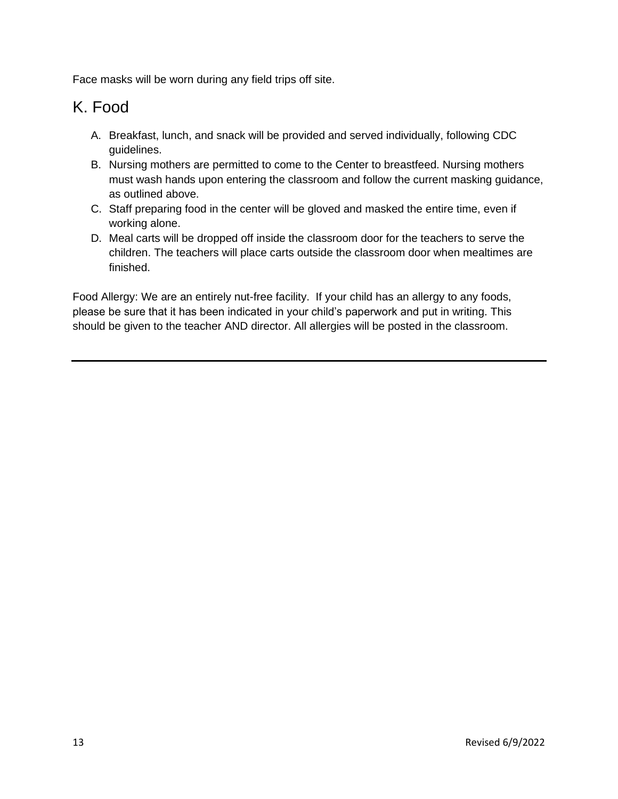Face masks will be worn during any field trips off site.

### K. Food

- A. Breakfast, lunch, and snack will be provided and served individually, following CDC guidelines.
- B. Nursing mothers are permitted to come to the Center to breastfeed. Nursing mothers must wash hands upon entering the classroom and follow the current masking guidance, as outlined above.
- C. Staff preparing food in the center will be gloved and masked the entire time, even if working alone.
- D. Meal carts will be dropped off inside the classroom door for the teachers to serve the children. The teachers will place carts outside the classroom door when mealtimes are finished.

Food Allergy: We are an entirely nut-free facility. If your child has an allergy to any foods, please be sure that it has been indicated in your child's paperwork and put in writing. This should be given to the teacher AND director. All allergies will be posted in the classroom.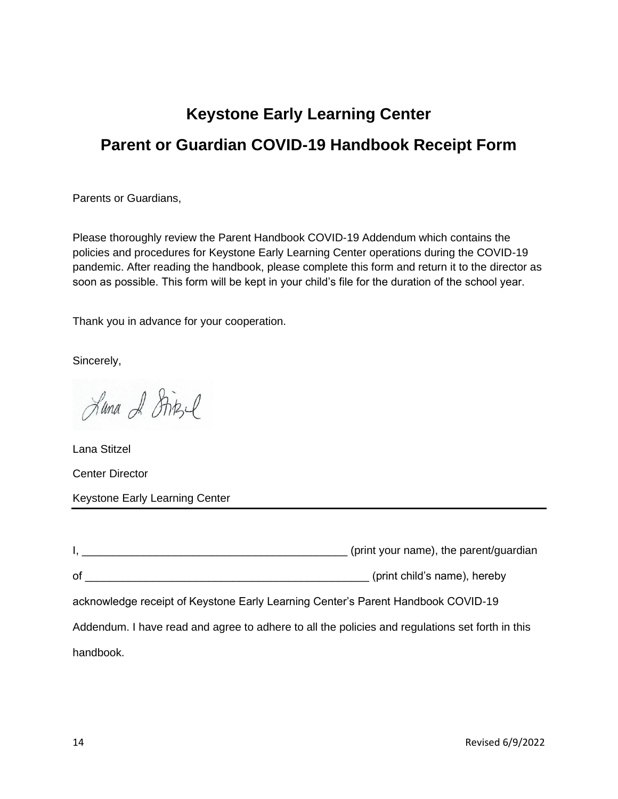## **Keystone Early Learning Center Parent or Guardian COVID-19 Handbook Receipt Form**

Parents or Guardians,

Please thoroughly review the Parent Handbook COVID-19 Addendum which contains the policies and procedures for Keystone Early Learning Center operations during the COVID-19 pandemic. After reading the handbook, please complete this form and return it to the director as soon as possible. This form will be kept in your child's file for the duration of the school year.

Thank you in advance for your cooperation.

Sincerely,

Luna & Stitzel

Lana Stitzel Center Director Keystone Early Learning Center

|                                                                                                 | (print your name), the parent/guardian                                           |
|-------------------------------------------------------------------------------------------------|----------------------------------------------------------------------------------|
| of                                                                                              | (print child's name), hereby                                                     |
|                                                                                                 | acknowledge receipt of Keystone Early Learning Center's Parent Handbook COVID-19 |
| Addendum. I have read and agree to adhere to all the policies and regulations set forth in this |                                                                                  |
| handbook.                                                                                       |                                                                                  |